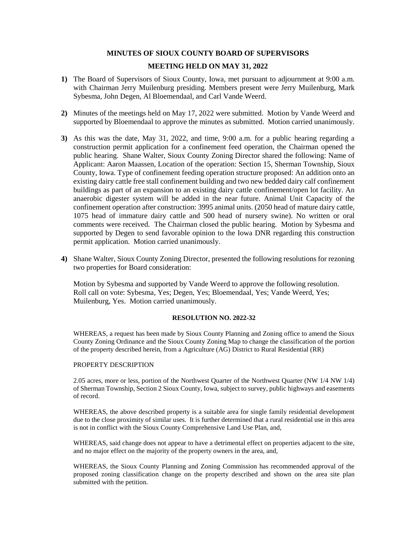# **MINUTES OF SIOUX COUNTY BOARD OF SUPERVISORS**

# **MEETING HELD ON MAY 31, 2022**

- **1)** The Board of Supervisors of Sioux County, Iowa, met pursuant to adjournment at 9:00 a.m. with Chairman Jerry Muilenburg presiding. Members present were Jerry Muilenburg, Mark Sybesma, John Degen, Al Bloemendaal, and Carl Vande Weerd.
- **2)** Minutes of the meetings held on May 17, 2022 were submitted. Motion by Vande Weerd and supported by Bloemendaal to approve the minutes as submitted. Motion carried unanimously.
- **3)** As this was the date, May 31, 2022, and time, 9:00 a.m. for a public hearing regarding a construction permit application for a confinement feed operation, the Chairman opened the public hearing. Shane Walter, Sioux County Zoning Director shared the following: Name of Applicant: Aaron Maassen, Location of the operation: Section 15, Sherman Township, Sioux County, Iowa. Type of confinement feeding operation structure proposed: An addition onto an existing dairy cattle free stall confinement building and two new bedded dairy calf confinement buildings as part of an expansion to an existing dairy cattle confinement/open lot facility. An anaerobic digester system will be added in the near future. Animal Unit Capacity of the confinement operation after construction: 3995 animal units. (2050 head of mature dairy cattle, 1075 head of immature dairy cattle and 500 head of nursery swine). No written or oral comments were received. The Chairman closed the public hearing. Motion by Sybesma and supported by Degen to send favorable opinion to the Iowa DNR regarding this construction permit application. Motion carried unanimously.
- **4)** Shane Walter, Sioux County Zoning Director, presented the following resolutions for rezoning two properties for Board consideration:

Motion by Sybesma and supported by Vande Weerd to approve the following resolution. Roll call on vote: Sybesma, Yes; Degen, Yes; Bloemendaal, Yes; Vande Weerd, Yes; Muilenburg, Yes. Motion carried unanimously.

# **RESOLUTION NO. 2022-32**

WHEREAS, a request has been made by Sioux County Planning and Zoning office to amend the Sioux County Zoning Ordinance and the Sioux County Zoning Map to change the classification of the portion of the property described herein, from a Agriculture (AG) District to Rural Residential (RR)

## PROPERTY DESCRIPTION

2.05 acres, more or less, portion of the Northwest Quarter of the Northwest Quarter (NW 1/4 NW 1/4) of Sherman Township, Section 2 Sioux County, Iowa, subject to survey, public highways and easements of record.

WHEREAS, the above described property is a suitable area for single family residential development due to the close proximity of similar uses. It is further determined that a rural residential use in this area is not in conflict with the Sioux County Comprehensive Land Use Plan, and,

WHEREAS, said change does not appear to have a detrimental effect on properties adjacent to the site, and no major effect on the majority of the property owners in the area, and,

WHEREAS, the Sioux County Planning and Zoning Commission has recommended approval of the proposed zoning classification change on the property described and shown on the area site plan submitted with the petition.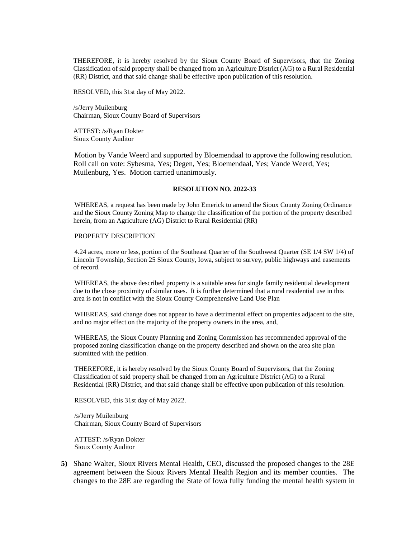THEREFORE, it is hereby resolved by the Sioux County Board of Supervisors, that the Zoning Classification of said property shall be changed from an Agriculture District (AG) to a Rural Residential (RR) District, and that said change shall be effective upon publication of this resolution.

RESOLVED, this 31st day of May 2022.

/s/Jerry Muilenburg Chairman, Sioux County Board of Supervisors

ATTEST: /s/Ryan Dokter Sioux County Auditor

Motion by Vande Weerd and supported by Bloemendaal to approve the following resolution. Roll call on vote: Sybesma, Yes; Degen, Yes; Bloemendaal, Yes; Vande Weerd, Yes; Muilenburg, Yes. Motion carried unanimously.

## **RESOLUTION NO. 2022-33**

WHEREAS, a request has been made by John Emerick to amend the Sioux County Zoning Ordinance and the Sioux County Zoning Map to change the classification of the portion of the property described herein, from an Agriculture (AG) District to Rural Residential (RR)

## PROPERTY DESCRIPTION

4.24 acres, more or less, portion of the Southeast Quarter of the Southwest Quarter (SE 1/4 SW 1/4) of Lincoln Township, Section 25 Sioux County, Iowa, subject to survey, public highways and easements of record.

WHEREAS, the above described property is a suitable area for single family residential development due to the close proximity of similar uses. It is further determined that a rural residential use in this area is not in conflict with the Sioux County Comprehensive Land Use Plan

WHEREAS, said change does not appear to have a detrimental effect on properties adjacent to the site, and no major effect on the majority of the property owners in the area, and,

WHEREAS, the Sioux County Planning and Zoning Commission has recommended approval of the proposed zoning classification change on the property described and shown on the area site plan submitted with the petition.

THEREFORE, it is hereby resolved by the Sioux County Board of Supervisors, that the Zoning Classification of said property shall be changed from an Agriculture District (AG) to a Rural Residential (RR) District, and that said change shall be effective upon publication of this resolution.

RESOLVED, this 31st day of May 2022.

/s/Jerry Muilenburg Chairman, Sioux County Board of Supervisors

ATTEST: /s/Ryan Dokter Sioux County Auditor

**5)** Shane Walter, Sioux Rivers Mental Health, CEO, discussed the proposed changes to the 28E agreement between the Sioux Rivers Mental Health Region and its member counties. The changes to the 28E are regarding the State of Iowa fully funding the mental health system in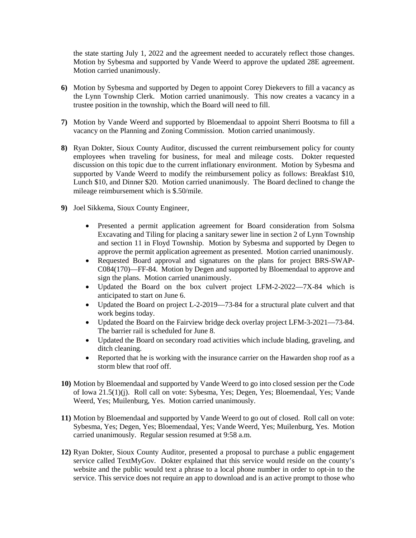the state starting July 1, 2022 and the agreement needed to accurately reflect those changes. Motion by Sybesma and supported by Vande Weerd to approve the updated 28E agreement. Motion carried unanimously.

- **6)** Motion by Sybesma and supported by Degen to appoint Corey Diekevers to fill a vacancy as the Lynn Township Clerk. Motion carried unanimously. This now creates a vacancy in a trustee position in the township, which the Board will need to fill.
- **7)** Motion by Vande Weerd and supported by Bloemendaal to appoint Sherri Bootsma to fill a vacancy on the Planning and Zoning Commission. Motion carried unanimously.
- **8)** Ryan Dokter, Sioux County Auditor, discussed the current reimbursement policy for county employees when traveling for business, for meal and mileage costs. Dokter requested discussion on this topic due to the current inflationary environment. Motion by Sybesma and supported by Vande Weerd to modify the reimbursement policy as follows: Breakfast \$10, Lunch \$10, and Dinner \$20. Motion carried unanimously. The Board declined to change the mileage reimbursement which is \$.50/mile.
- **9)** Joel Sikkema, Sioux County Engineer,
	- Presented a permit application agreement for Board consideration from Solsma Excavating and Tiling for placing a sanitary sewer line in section 2 of Lynn Township and section 11 in Floyd Township. Motion by Sybesma and supported by Degen to approve the permit application agreement as presented. Motion carried unanimously.
	- Requested Board approval and signatures on the plans for project BRS-SWAP-C084(170)—FF-84. Motion by Degen and supported by Bloemendaal to approve and sign the plans. Motion carried unanimously.
	- Updated the Board on the box culvert project LFM-2-2022—7X-84 which is anticipated to start on June 6.
	- Updated the Board on project L-2-2019—73-84 for a structural plate culvert and that work begins today.
	- Updated the Board on the Fairview bridge deck overlay project LFM-3-2021—73-84. The barrier rail is scheduled for June 8.
	- Updated the Board on secondary road activities which include blading, graveling, and ditch cleaning.
	- Reported that he is working with the insurance carrier on the Hawarden shop roof as a storm blew that roof off.
- **10)** Motion by Bloemendaal and supported by Vande Weerd to go into closed session per the Code of Iowa 21.5(1)(j). Roll call on vote: Sybesma, Yes; Degen, Yes; Bloemendaal, Yes; Vande Weerd, Yes; Muilenburg, Yes. Motion carried unanimously.
- **11)** Motion by Bloemendaal and supported by Vande Weerd to go out of closed. Roll call on vote: Sybesma, Yes; Degen, Yes; Bloemendaal, Yes; Vande Weerd, Yes; Muilenburg, Yes. Motion carried unanimously. Regular session resumed at 9:58 a.m.
- **12)** Ryan Dokter, Sioux County Auditor, presented a proposal to purchase a public engagement service called TextMyGov. Dokter explained that this service would reside on the county's website and the public would text a phrase to a local phone number in order to opt-in to the service. This service does not require an app to download and is an active prompt to those who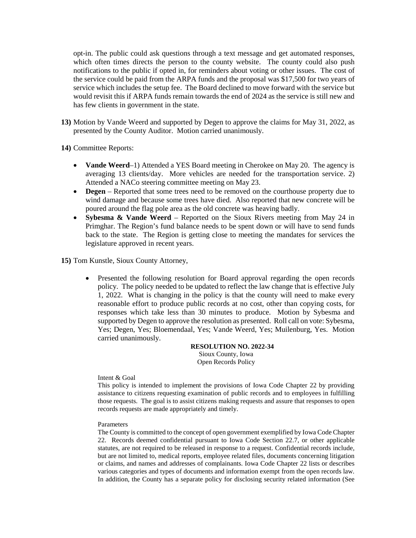opt-in. The public could ask questions through a text message and get automated responses, which often times directs the person to the county website. The county could also push notifications to the public if opted in, for reminders about voting or other issues. The cost of the service could be paid from the ARPA funds and the proposal was \$17,500 for two years of service which includes the setup fee. The Board declined to move forward with the service but would revisit this if ARPA funds remain towards the end of 2024 as the service is still new and has few clients in government in the state.

**13)** Motion by Vande Weerd and supported by Degen to approve the claims for May 31, 2022, as presented by the County Auditor. Motion carried unanimously.

**14)** Committee Reports:

- **Vande Weerd**–1) Attended a YES Board meeting in Cherokee on May 20. The agency is averaging 13 clients/day. More vehicles are needed for the transportation service. 2) Attended a NACo steering committee meeting on May 23.
- **Degen** Reported that some trees need to be removed on the courthouse property due to wind damage and because some trees have died. Also reported that new concrete will be poured around the flag pole area as the old concrete was heaving badly.
- **Sybesma & Vande Weerd** Reported on the Sioux Rivers meeting from May 24 in Primghar. The Region's fund balance needs to be spent down or will have to send funds back to the state. The Region is getting close to meeting the mandates for services the legislature approved in recent years.

**15)** Tom Kunstle, Sioux County Attorney,

• Presented the following resolution for Board approval regarding the open records policy. The policy needed to be updated to reflect the law change that is effective July 1, 2022. What is changing in the policy is that the county will need to make every reasonable effort to produce public records at no cost, other than copying costs, for responses which take less than 30 minutes to produce. Motion by Sybesma and supported by Degen to approve the resolution as presented. Roll call on vote: Sybesma, Yes; Degen, Yes; Bloemendaal, Yes; Vande Weerd, Yes; Muilenburg, Yes. Motion carried unanimously.

> **RESOLUTION NO. 2022-34** Sioux County, Iowa Open Records Policy

Intent & Goal

This policy is intended to implement the provisions of Iowa Code Chapter 22 by providing assistance to citizens requesting examination of public records and to employees in fulfilling those requests. The goal is to assist citizens making requests and assure that responses to open records requests are made appropriately and timely.

## Parameters

The County is committed to the concept of open government exemplified by Iowa Code Chapter 22. Records deemed confidential pursuant to Iowa Code Section 22.7, or other applicable statutes, are not required to be released in response to a request. Confidential records include, but are not limited to, medical reports, employee related files, documents concerning litigation or claims, and names and addresses of complainants. Iowa Code Chapter 22 lists or describes various categories and types of documents and information exempt from the open records law. In addition, the County has a separate policy for disclosing security related information (See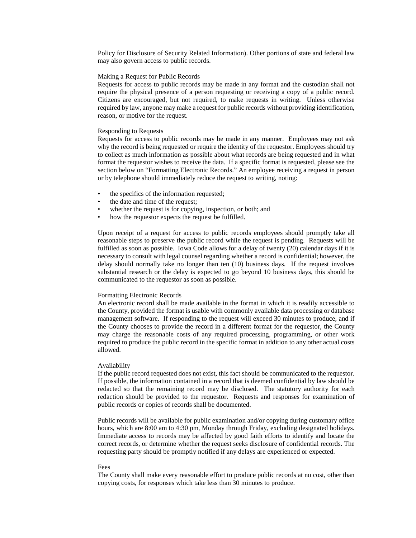Policy for Disclosure of Security Related Information). Other portions of state and federal law may also govern access to public records.

### Making a Request for Public Records

Requests for access to public records may be made in any format and the custodian shall not require the physical presence of a person requesting or receiving a copy of a public record. Citizens are encouraged, but not required, to make requests in writing. Unless otherwise required by law, anyone may make a request for public records without providing identification, reason, or motive for the request.

#### Responding to Requests

Requests for access to public records may be made in any manner. Employees may not ask why the record is being requested or require the identity of the requestor. Employees should try to collect as much information as possible about what records are being requested and in what format the requestor wishes to receive the data. If a specific format is requested, please see the section below on "Formatting Electronic Records." An employee receiving a request in person or by telephone should immediately reduce the request to writing, noting:

- the specifics of the information requested;
- the date and time of the request;
- whether the request is for copying, inspection, or both; and
- how the requestor expects the request be fulfilled.

Upon receipt of a request for access to public records employees should promptly take all reasonable steps to preserve the public record while the request is pending. Requests will be fulfilled as soon as possible. Iowa Code allows for a delay of twenty (20) calendar days if it is necessary to consult with legal counsel regarding whether a record is confidential; however, the delay should normally take no longer than ten (10) business days. If the request involves substantial research or the delay is expected to go beyond 10 business days, this should be communicated to the requestor as soon as possible.

#### Formatting Electronic Records

An electronic record shall be made available in the format in which it is readily accessible to the County, provided the format is usable with commonly available data processing or database management software. If responding to the request will exceed 30 minutes to produce, and if the County chooses to provide the record in a different format for the requestor, the County may charge the reasonable costs of any required processing, programming, or other work required to produce the public record in the specific format in addition to any other actual costs allowed.

#### Availability

If the public record requested does not exist, this fact should be communicated to the requestor. If possible, the information contained in a record that is deemed confidential by law should be redacted so that the remaining record may be disclosed. The statutory authority for each redaction should be provided to the requestor. Requests and responses for examination of public records or copies of records shall be documented.

Public records will be available for public examination and/or copying during customary office hours, which are 8:00 am to 4:30 pm, Monday through Friday, excluding designated holidays. Immediate access to records may be affected by good faith efforts to identify and locate the correct records, or determine whether the request seeks disclosure of confidential records. The requesting party should be promptly notified if any delays are experienced or expected.

#### Fees

The County shall make every reasonable effort to produce public records at no cost, other than copying costs, for responses which take less than 30 minutes to produce.